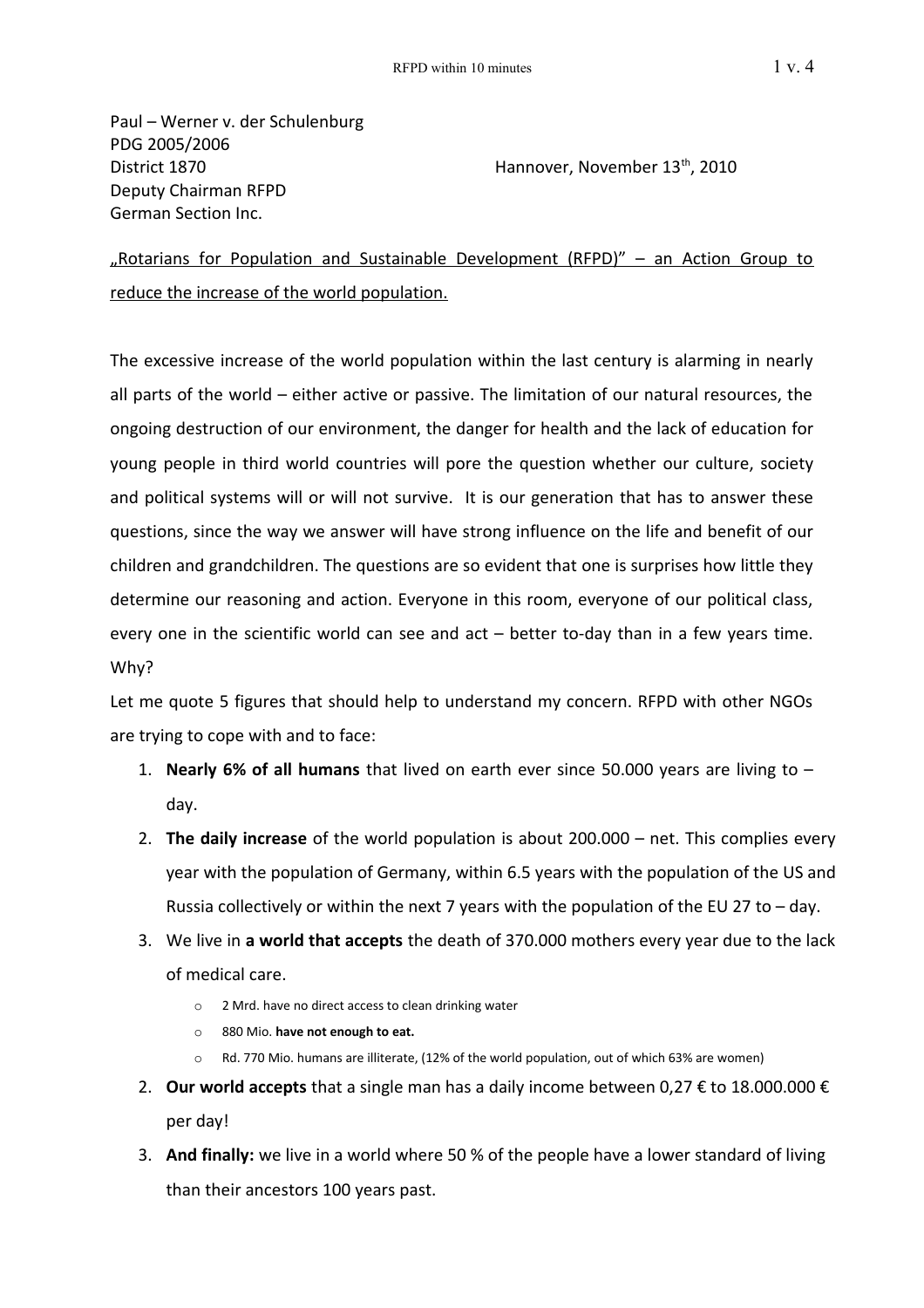Paul – Werner v. der Schulenburg PDG 2005/2006 District 1870 **Hannover, November 13th, 2010** Deputy Chairman RFPD German Section Inc.

"Rotarians for Population and Sustainable Development (RFPD)" – an Action Group to reduce the increase of the world population.

The excessive increase of the world population within the last century is alarming in nearly all parts of the world – either active or passive. The limitation of our natural resources, the ongoing destruction of our environment, the danger for health and the lack of education for young people in third world countries will pore the question whether our culture, society and political systems will or will not survive. It is our generation that has to answer these questions, since the way we answer will have strong influence on the life and benefit of our children and grandchildren. The questions are so evident that one is surprises how little they determine our reasoning and action. Everyone in this room, everyone of our political class, every one in the scientific world can see and act – better to-day than in a few years time. Why?

Let me quote 5 figures that should help to understand my concern. RFPD with other NGOs are trying to cope with and to face:

- 1. **Nearly 6% of all humans** that lived on earth ever since 50.000 years are living to day.
- 2. **The daily increase** of the world population is about 200.000 net. This complies every year with the population of Germany, within 6.5 years with the population of the US and Russia collectively or within the next 7 years with the population of the EU 27 to – day.
- 3. We live in **a world that accepts** the death of 370.000 mothers every year due to the lack of medical care.
	- o 2 Mrd. have no direct access to clean drinking water
	- o 880 Mio. **have not enough to eat.**
	- o Rd. 770 Mio. humans are illiterate, (12% of the world population, out of which 63% are women)
- 2. **Our world accepts** that a single man has a daily income between 0,27 € to 18.000.000 € per day!
- 3. **And finally:** we live in a world where 50 % of the people have a lower standard of living than their ancestors 100 years past.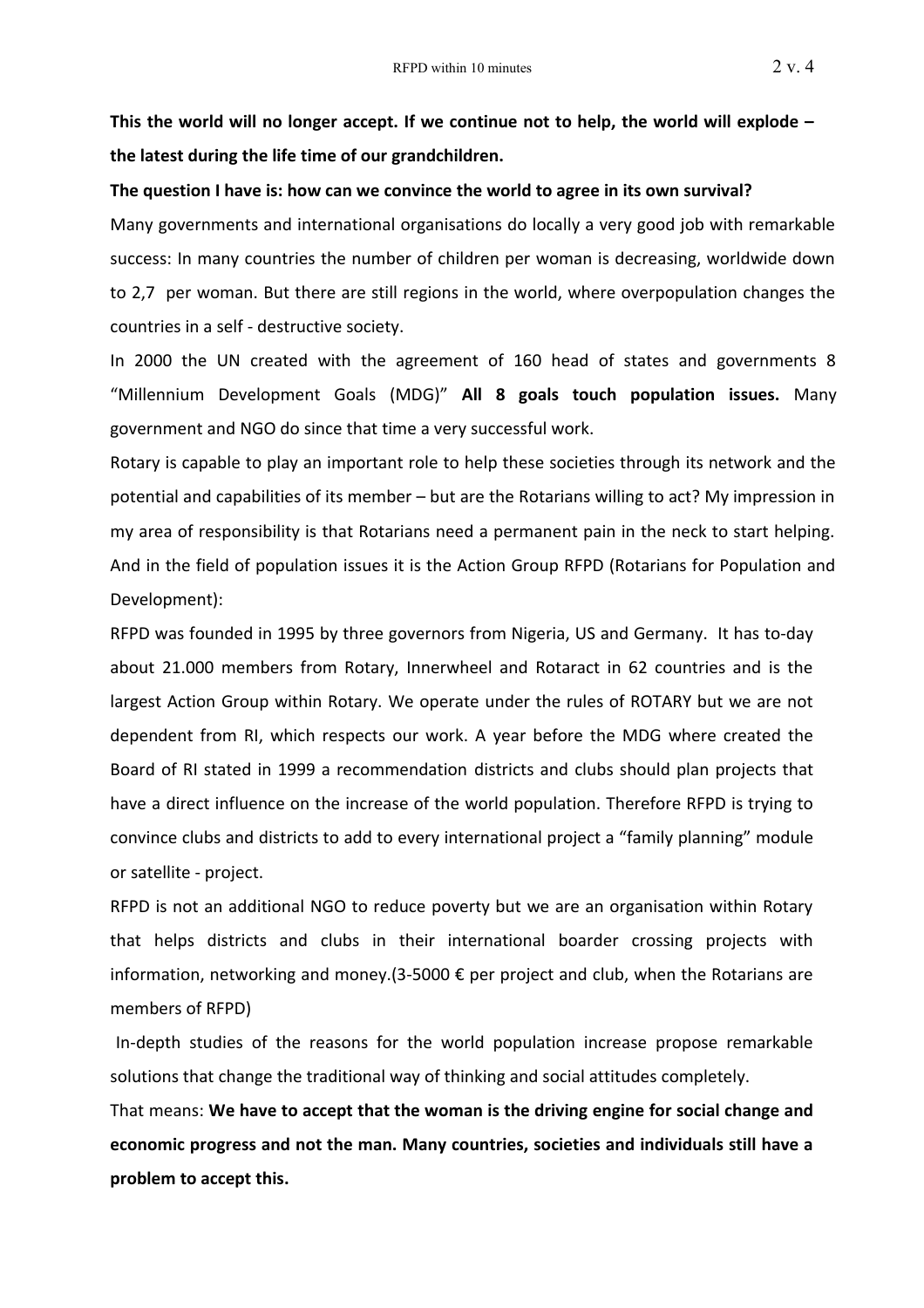**This the world will no longer accept. If we continue not to help, the world will explode – the latest during the life time of our grandchildren.**

## **The question I have is: how can we convince the world to agree in its own survival?**

Many governments and international organisations do locally a very good job with remarkable success: In many countries the number of children per woman is decreasing, worldwide down to 2,7 per woman. But there are still regions in the world, where overpopulation changes the countries in a self - destructive society.

In 2000 the UN created with the agreement of 160 head of states and governments 8 "Millennium Development Goals (MDG)" **All 8 goals touch population issues.** Many government and NGO do since that time a very successful work.

Rotary is capable to play an important role to help these societies through its network and the potential and capabilities of its member – but are the Rotarians willing to act? My impression in my area of responsibility is that Rotarians need a permanent pain in the neck to start helping. And in the field of population issues it is the Action Group RFPD (Rotarians for Population and Development):

RFPD was founded in 1995 by three governors from Nigeria, US and Germany. It has to-day about 21.000 members from Rotary, Innerwheel and Rotaract in 62 countries and is the largest Action Group within Rotary. We operate under the rules of ROTARY but we are not dependent from RI, which respects our work. A year before the MDG where created the Board of RI stated in 1999 a recommendation districts and clubs should plan projects that have a direct influence on the increase of the world population. Therefore RFPD is trying to convince clubs and districts to add to every international project a "family planning" module or satellite - project.

RFPD is not an additional NGO to reduce poverty but we are an organisation within Rotary that helps districts and clubs in their international boarder crossing projects with information, networking and money.(3-5000 € per project and club, when the Rotarians are members of RFPD)

In-depth studies of the reasons for the world population increase propose remarkable solutions that change the traditional way of thinking and social attitudes completely.

That means: **We have to accept that the woman is the driving engine for social change and economic progress and not the man. Many countries, societies and individuals still have a problem to accept this.**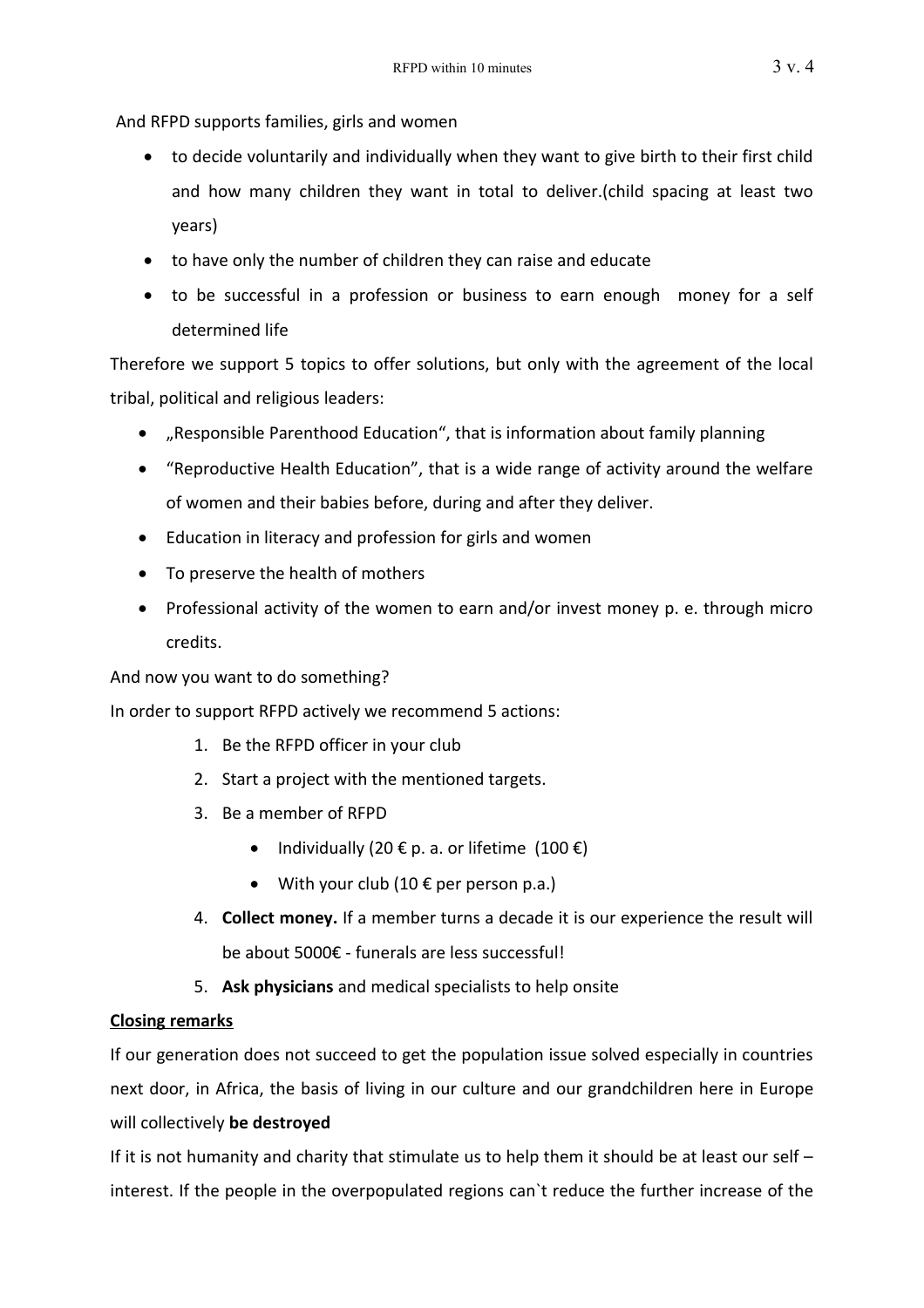And RFPD supports families, girls and women

- to decide voluntarily and individually when they want to give birth to their first child and how many children they want in total to deliver.(child spacing at least two years)
- to have only the number of children they can raise and educate
- to be successful in a profession or business to earn enough money for a self determined life

Therefore we support 5 topics to offer solutions, but only with the agreement of the local tribal, political and religious leaders:

- "Responsible Parenthood Education", that is information about family planning
- "Reproductive Health Education", that is a wide range of activity around the welfare of women and their babies before, during and after they deliver.
- Education in literacy and profession for girls and women
- To preserve the health of mothers
- Professional activity of the women to earn and/or invest money p. e. through micro credits.

And now you want to do something?

In order to support RFPD actively we recommend 5 actions:

- 1. Be the RFPD officer in your club
- 2. Start a project with the mentioned targets.
- 3. Be a member of RFPD
	- Individually (20  $\epsilon$  p. a. or lifetime (100  $\epsilon$ )
	- With your club  $(10 \in per$  person p.a.)
- 4. **Collect money.** If a member turns a decade it is our experience the result will be about 5000€ - funerals are less successful!
- 5. **Ask physicians** and medical specialists to help onsite

## **Closing remarks**

If our generation does not succeed to get the population issue solved especially in countries next door, in Africa, the basis of living in our culture and our grandchildren here in Europe will collectively **be destroyed**

If it is not humanity and charity that stimulate us to help them it should be at least our self – interest. If the people in the overpopulated regions can`t reduce the further increase of the